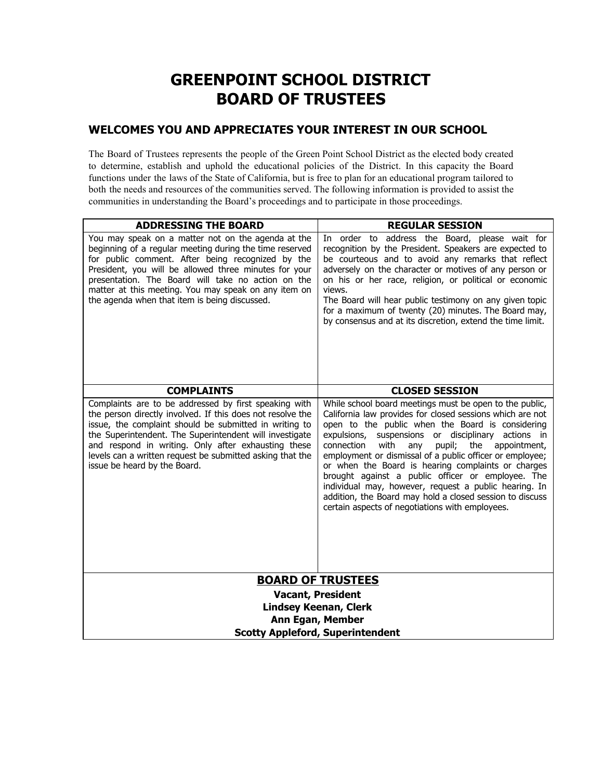# **GREENPOINT SCHOOL DISTRICT BOARD OF TRUSTEES**

## **WELCOMES YOU AND APPRECIATES YOUR INTEREST IN OUR SCHOOL**

The Board of Trustees represents the people of the Green Point School District as the elected body created to determine, establish and uphold the educational policies of the District. In this capacity the Board functions under the laws of the State of California, but is free to plan for an educational program tailored to both the needs and resources of the communities served. The following information is provided to assist the communities in understanding the Board's proceedings and to participate in those proceedings.

| <b>ADDRESSING THE BOARD</b>                                                                                                                                                                                                                                                                                                                                                                  | <b>REGULAR SESSION</b>                                                                                                                                                                                                                                                                                                                                                                                                                                                                                                                                                                                                                      |
|----------------------------------------------------------------------------------------------------------------------------------------------------------------------------------------------------------------------------------------------------------------------------------------------------------------------------------------------------------------------------------------------|---------------------------------------------------------------------------------------------------------------------------------------------------------------------------------------------------------------------------------------------------------------------------------------------------------------------------------------------------------------------------------------------------------------------------------------------------------------------------------------------------------------------------------------------------------------------------------------------------------------------------------------------|
| You may speak on a matter not on the agenda at the<br>beginning of a regular meeting during the time reserved<br>for public comment. After being recognized by the<br>President, you will be allowed three minutes for your<br>presentation. The Board will take no action on the<br>matter at this meeting. You may speak on any item on<br>the agenda when that item is being discussed.   | In order to address the Board, please wait for<br>recognition by the President. Speakers are expected to<br>be courteous and to avoid any remarks that reflect<br>adversely on the character or motives of any person or<br>on his or her race, religion, or political or economic<br>views.<br>The Board will hear public testimony on any given topic<br>for a maximum of twenty (20) minutes. The Board may,<br>by consensus and at its discretion, extend the time limit.                                                                                                                                                               |
| <b>COMPLAINTS</b>                                                                                                                                                                                                                                                                                                                                                                            | <b>CLOSED SESSION</b>                                                                                                                                                                                                                                                                                                                                                                                                                                                                                                                                                                                                                       |
| Complaints are to be addressed by first speaking with<br>the person directly involved. If this does not resolve the<br>issue, the complaint should be submitted in writing to<br>the Superintendent. The Superintendent will investigate<br>and respond in writing. Only after exhausting these<br>levels can a written request be submitted asking that the<br>issue be heard by the Board. | While school board meetings must be open to the public,<br>California law provides for closed sessions which are not<br>open to the public when the Board is considering<br>suspensions or disciplinary actions in<br>expulsions,<br>with<br>pupil; the<br>connection<br>appointment,<br>any<br>employment or dismissal of a public officer or employee;<br>or when the Board is hearing complaints or charges<br>brought against a public officer or employee. The<br>individual may, however, request a public hearing. In<br>addition, the Board may hold a closed session to discuss<br>certain aspects of negotiations with employees. |
| <b>BOARD OF TRUSTEES</b>                                                                                                                                                                                                                                                                                                                                                                     |                                                                                                                                                                                                                                                                                                                                                                                                                                                                                                                                                                                                                                             |
| <b>Vacant, President</b>                                                                                                                                                                                                                                                                                                                                                                     |                                                                                                                                                                                                                                                                                                                                                                                                                                                                                                                                                                                                                                             |
| <b>Lindsey Keenan, Clerk</b><br><b>Ann Egan, Member</b>                                                                                                                                                                                                                                                                                                                                      |                                                                                                                                                                                                                                                                                                                                                                                                                                                                                                                                                                                                                                             |
| <b>Scotty Appleford, Superintendent</b>                                                                                                                                                                                                                                                                                                                                                      |                                                                                                                                                                                                                                                                                                                                                                                                                                                                                                                                                                                                                                             |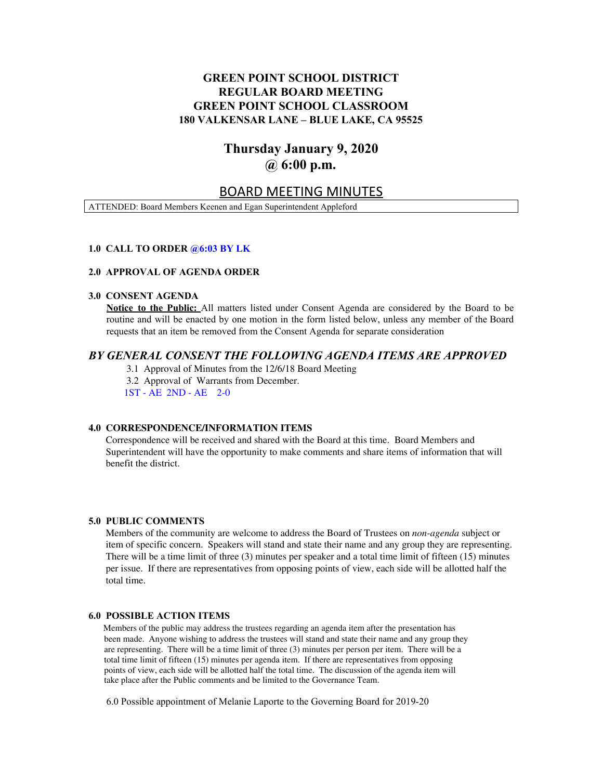## **GREEN POINT SCHOOL DISTRICT REGULAR BOARD MEETING GREEN POINT SCHOOL CLASSROOM 180 VALKENSAR LANE – BLUE LAKE, CA 95525**

# **Thursday January 9, 2020 @ 6:00 p.m.**

## BOARD MEETING MINUTES

ATTENDED: Board Members Keenen and Egan Superintendent Appleford

## **1.0 CALL TO ORDER @6:03 BY LK**

## **2.0 APPROVAL OF AGENDA ORDER**

#### **3.0 CONSENT AGENDA**

**Notice to the Public:** All matters listed under Consent Agenda are considered by the Board to be routine and will be enacted by one motion in the form listed below, unless any member of the Board requests that an item be removed from the Consent Agenda for separate consideration

## *BY GENERAL CONSENT THE FOLLOWING AGENDA ITEMS ARE APPROVED*

3.1 Approval of Minutes from the 12/6/18 Board Meeting 3.2 Approval of Warrants from December.

1ST - AE 2ND - AE 2-0

## **4.0 CORRESPONDENCE/INFORMATION ITEMS**

Correspondence will be received and shared with the Board at this time. Board Members and Superintendent will have the opportunity to make comments and share items of information that will benefit the district.

## **5.0 PUBLIC COMMENTS**

Members of the community are welcome to address the Board of Trustees on *non-agenda* subject or item of specific concern. Speakers will stand and state their name and any group they are representing. There will be a time limit of three (3) minutes per speaker and a total time limit of fifteen (15) minutes per issue. If there are representatives from opposing points of view, each side will be allotted half the total time.

#### **6.0 POSSIBLE ACTION ITEMS**

Members of the public may address the trustees regarding an agenda item after the presentation has been made. Anyone wishing to address the trustees will stand and state their name and any group they are representing. There will be a time limit of three (3) minutes per person per item. There will be a total time limit of fifteen (15) minutes per agenda item. If there are representatives from opposing points of view, each side will be allotted half the total time. The discussion of the agenda item will take place after the Public comments and be limited to the Governance Team.

6.0 Possible appointment of Melanie Laporte to the Governing Board for 2019-20